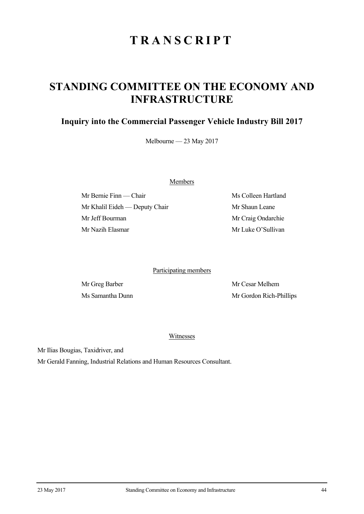## **TRANSCRIPT**

## **STANDING COMMITTEE ON THE ECONOMY AND INFRASTRUCTURE**

## **Inquiry into the Commercial Passenger Vehicle Industry Bill 2017**

Melbourne — 23 May 2017

Members

Mr Bernie Finn — Chair Ms Colleen Hartland Mr Khalil Eideh — Deputy Chair Mr Shaun Leane Mr Jeff Bourman Mr Craig Ondarchie Mr Nazih Elasmar Mr Luke O'Sullivan

Participating members

Mr Greg Barber Mr Cesar Melhem Ms Samantha Dunn Mr Gordon Rich-Phillips

Witnesses

Mr Ilias Bougias, Taxidriver, and

Mr Gerald Fanning, Industrial Relations and Human Resources Consultant.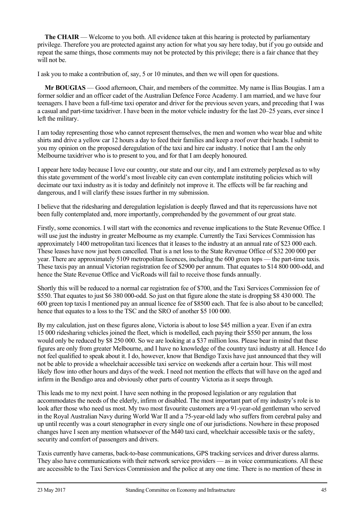**The CHAIR** — Welcome to you both. All evidence taken at this hearing is protected by parliamentary privilege. Therefore you are protected against any action for what you say here today, but if you go outside and repeat the same things, those comments may not be protected by this privilege; there is a fair chance that they will not be.

I ask you to make a contribution of, say, 5 or 10 minutes, and then we will open for questions.

**Mr BOUGIAS** — Good afternoon, Chair, and members of the committee. My name is Ilias Bougias. I am a former soldier and an officer cadet of the Australian Defence Force Academy. I am married, and we have four teenagers. I have been a full-time taxi operator and driver for the previous seven years, and preceding that I was a casual and part-time taxidriver. I have been in the motor vehicle industry for the last 20–25 years, ever since I left the military.

I am today representing those who cannot represent themselves, the men and women who wear blue and white shirts and drive a yellow car 12 hours a day to feed their families and keep a roof over their heads. I submit to you my opinion on the proposed deregulation of the taxi and hire car industry. I notice that I am the only Melbourne taxidriver who is to present to you, and for that I am deeply honoured.

I appear here today because I love our country, our state and our city, and I am extremely perplexed as to why this state government of the world's most liveable city can even contemplate instituting policies which will decimate our taxi industry as it is today and definitely not improve it. The effects will be far reaching and dangerous, and I will clarify these issues further in my submission.

I believe that the ridesharing and deregulation legislation is deeply flawed and that its repercussions have not been fully contemplated and, more importantly, comprehended by the government of our great state.

Firstly, some economics. I will start with the economics and revenue implications to the State Revenue Office. I will use just the industry in greater Melbourne as my example. Currently the Taxi Services Commission has approximately 1400 metropolitan taxi licences that it leases to the industry at an annual rate of \$23 000 each. These leases have now just been cancelled. That is a net loss to the State Revenue Office of \$32 200 000 per year. There are approximately 5109 metropolitan licences, including the 600 green tops — the part-time taxis. These taxis pay an annual Victorian registration fee of \$2900 per annum. That equates to \$14 800 000-odd, and hence the State Revenue Office and VicRoads will fail to receive those funds annually.

Shortly this will be reduced to a normal car registration fee of \$700, and the Taxi Services Commission fee of \$550. That equates to just \$6 380 000-odd. So just on that figure alone the state is dropping \$8 430 000. The 600 green top taxis I mentioned pay an annual licence fee of \$8500 each. That fee is also about to be cancelled; hence that equates to a loss to the TSC and the SRO of another \$5 100 000.

By my calculation, just on these figures alone, Victoria is about to lose \$45 million a year. Even if an extra 15 000 ridesharing vehicles joined the fleet, which is modelled, each paying their \$550 per annum, the loss would only be reduced by \$8 250 000. So we are looking at a \$37 million loss. Please bear in mind that these figures are only from greater Melbourne, and I have no knowledge of the country taxi industry at all. Hence I do not feel qualified to speak about it. I do, however, know that Bendigo Taxis have just announced that they will not be able to provide a wheelchair accessible taxi service on weekends after a certain hour. This will most likely flow into other hours and days of the week. I need not mention the effects that will have on the aged and infirm in the Bendigo area and obviously other parts of country Victoria as it seeps through.

This leads me to my next point. I have seen nothing in the proposed legislation or any regulation that accommodates the needs of the elderly, infirm or disabled. The most important part of my industry's role is to look after those who need us most. My two most favourite customers are a 91-year-old gentleman who served in the Royal Australian Navy during World War II and a 75-year-old lady who suffers from cerebral palsy and up until recently was a court stenographer in every single one of our jurisdictions. Nowhere in these proposed changes have I seen any mention whatsoever of the M40 taxi card, wheelchair accessible taxis or the safety, security and comfort of passengers and drivers.

Taxis currently have cameras, back-to-base communications, GPS tracking services and driver duress alarms. They also have communications with their network service providers — as in voice communications. All these are accessible to the Taxi Services Commission and the police at any one time. There is no mention of these in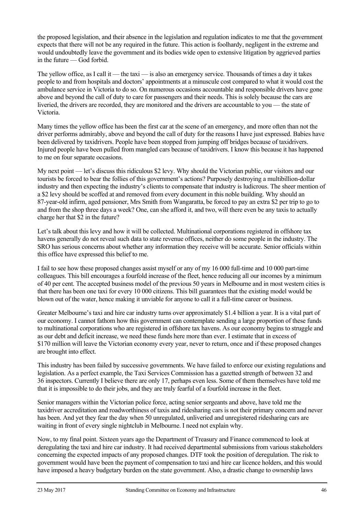the proposed legislation, and their absence in the legislation and regulation indicates to me that the government expects that there will not be any required in the future. This action is foolhardy, negligent in the extreme and would undoubtedly leave the government and its bodies wide open to extensive litigation by aggrieved parties in the future — God forbid.

The yellow office, as I call it — the taxi — is also an emergency service. Thousands of times a day it takes people to and from hospitals and doctors' appointments at a minuscule cost compared to what it would cost the ambulance service in Victoria to do so. On numerous occasions accountable and responsible drivers have gone above and beyond the call of duty to care for passengers and their needs. This is solely because the cars are liveried, the drivers are recorded, they are monitored and the drivers are accountable to you — the state of Victoria.

Many times the yellow office has been the first car at the scene of an emergency, and more often than not the driver performs admirably, above and beyond the call of duty for the reasons I have just expressed. Babies have been delivered by taxidrivers. People have been stopped from jumping off bridges because of taxidrivers. Injured people have been pulled from mangled cars because of taxidrivers. I know this because it has happened to me on four separate occasions.

My next point — let's discuss this ridiculous \$2 levy. Why should the Victorian public, our visitors and our tourists be forced to bear the follies of this government's actions? Purposely destroying a multibillion-dollar industry and then expecting the industry's clients to compensate that industry is ludicrous. The sheer mention of a \$2 levy should be scoffed at and removed from every document in this noble building. Why should an 87-year-old infirm, aged pensioner, Mrs Smith from Wangaratta, be forced to pay an extra \$2 per trip to go to and from the shop three days a week? One, can she afford it, and two, will there even be any taxis to actually charge her that \$2 in the future?

Let's talk about this levy and how it will be collected. Multinational corporations registered in offshore tax havens generally do not reveal such data to state revenue offices, neither do some people in the industry. The SRO has serious concerns about whether any information they receive will be accurate. Senior officials within this office have expressed this belief to me.

I fail to see how these proposed changes assist myself or any of my 16 000 full-time and 10 000 part-time colleagues. This bill encourages a fourfold increase of the fleet, hence reducing all our incomes by a minimum of 40 per cent. The accepted business model of the previous 50 years in Melbourne and in most western cities is that there has been one taxi for every 10 000 citizens. This bill guarantees that the existing model would be blown out of the water, hence making it unviable for anyone to call it a full-time career or business.

Greater Melbourne's taxi and hire car industry turns over approximately \$1.4 billion a year. It is a vital part of our economy. I cannot fathom how this government can contemplate sending a large proportion of these funds to multinational corporations who are registered in offshore tax havens. As our economy begins to struggle and as our debt and deficit increase, we need these funds here more than ever. I estimate that in excess of \$170 million will leave the Victorian economy every year, never to return, once and if these proposed changes are brought into effect.

This industry has been failed by successive governments. We have failed to enforce our existing regulations and legislation. As a perfect example, the Taxi Services Commission has a gazetted strength of between 32 and 36 inspectors. Currently I believe there are only 17, perhaps even less. Some of them themselves have told me that it is impossible to do their jobs, and they are truly fearful of a fourfold increase in the fleet.

Senior managers within the Victorian police force, acting senior sergeants and above, have told me the taxidriver accreditation and roadworthiness of taxis and ridesharing cars is not their primary concern and never has been. And yet they fear the day when 50 unregulated, unliveried and unregistered ridesharing cars are waiting in front of every single nightclub in Melbourne. I need not explain why.

Now, to my final point. Sixteen years ago the Department of Treasury and Finance commenced to look at deregulating the taxi and hire car industry. It had received departmental submissions from various stakeholders concerning the expected impacts of any proposed changes. DTF took the position of deregulation. The risk to government would have been the payment of compensation to taxi and hire car licence holders, and this would have imposed a heavy budgetary burden on the state government. Also, a drastic change to ownership laws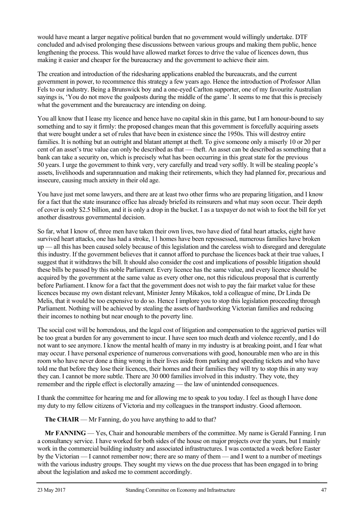would have meant a larger negative political burden that no government would willingly undertake. DTF concluded and advised prolonging these discussions between various groups and making them public, hence lengthening the process. This would have allowed market forces to drive the value of licences down, thus making it easier and cheaper for the bureaucracy and the government to achieve their aim.

The creation and introduction of the ridesharing applications enabled the bureaucrats, and the current government in power, to recommence this strategy a few years ago. Hence the introduction of Professor Allan Fels to our industry. Being a Brunswick boy and a one-eyed Carlton supporter, one of my favourite Australian sayings is, 'You do not move the goalposts during the middle of the game'. It seems to me that this is precisely what the government and the bureaucracy are intending on doing.

You all know that I lease my licence and hence have no capital skin in this game, but I am honour-bound to say something and to say it firmly: the proposed changes mean that this government is forcefully acquiring assets that were bought under a set of rules that have been in existence since the 1950s. This will destroy entire families. It is nothing but an outright and blatant attempt at theft. To give someone only a miserly 10 or 20 per cent of an asset's true value can only be described as that — theft. An asset can be described as something that a bank can take a security on, which is precisely what has been occurring in this great state for the previous 50 years. I urge the government to think very, very carefully and tread very softly. It will be stealing people's assets, livelihoods and superannuation and making their retirements, which they had planned for, precarious and insecure, causing much anxiety in their old age.

You have just met some lawyers, and there are at least two other firms who are preparing litigation, and I know for a fact that the state insurance office has already briefed its reinsurers and what may soon occur. Their depth of cover is only \$2.5 billion, and it is only a drop in the bucket. I as a taxpayer do not wish to foot the bill for yet another disastrous governmental decision.

So far, what I know of, three men have taken their own lives, two have died of fatal heart attacks, eight have survived heart attacks, one has had a stroke, 11 homes have been repossessed, numerous families have broken up — all this has been caused solely because of this legislation and the careless wish to disregard and deregulate this industry. If the government believes that it cannot afford to purchase the licences back at their true values, I suggest that it withdraws the bill. It should also consider the cost and implications of possible litigation should these bills be passed by this noble Parliament. Every licence has the same value, and every licence should be acquired by the government at the same value as every other one, not this ridiculous proposal that is currently before Parliament. I know for a fact that the government does not wish to pay the fair market value for these licences because my own distant relevant, Minister Jenny Mikakos, told a colleague of mine, Dr Linda De Melis, that it would be too expensive to do so. Hence I implore you to stop this legislation proceeding through Parliament. Nothing will be achieved by stealing the assets of hardworking Victorian families and reducing their incomes to nothing but near enough to the poverty line.

The social cost will be horrendous, and the legal cost of litigation and compensation to the aggrieved parties will be too great a burden for any government to incur. I have seen too much death and violence recently, and I do not want to see anymore. I know the mental health of many in my industry is at breaking point, and I fear what may occur. I have personal experience of numerous conversations with good, honourable men who are in this room who have never done a thing wrong in their lives aside from parking and speeding tickets and who have told me that before they lose their licences, their homes and their families they will try to stop this in any way they can. I cannot be more subtle. There are 30 000 families involved in this industry. They vote, they remember and the ripple effect is electorally amazing — the law of unintended consequences.

I thank the committee for hearing me and for allowing me to speak to you today. I feel as though I have done my duty to my fellow citizens of Victoria and my colleagues in the transport industry. Good afternoon.

**The CHAIR** — Mr Fanning, do you have anything to add to that?

**Mr FANNING** — Yes, Chair and honourable members of the committee. My name is Gerald Fanning. I run a consultancy service. I have worked for both sides of the house on major projects over the years, but I mainly work in the commercial building industry and associated infrastructures. I was contacted a week before Easter by the Victorian — I cannot remember now; there are so many of them — and I went to a number of meetings with the various industry groups. They sought my views on the due process that has been engaged in to bring about the legislation and asked me to comment accordingly.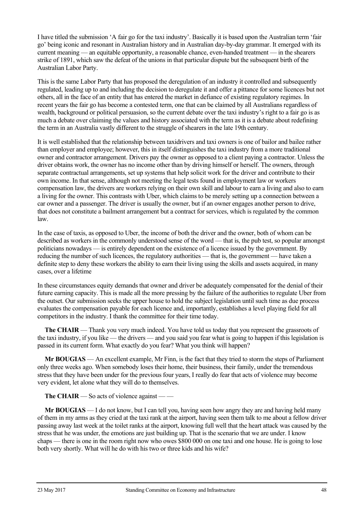I have titled the submission 'A fair go for the taxi industry'. Basically it is based upon the Australian term 'fair go' being iconic and resonant in Australian history and in Australian day-by-day grammar. It emerged with its current meaning — an equitable opportunity, a reasonable chance, even-handed treatment — in the shearers strike of 1891, which saw the defeat of the unions in that particular dispute but the subsequent birth of the Australian Labor Party.

This is the same Labor Party that has proposed the deregulation of an industry it controlled and subsequently regulated, leading up to and including the decision to deregulate it and offer a pittance for some licences but not others, all in the face of an entity that has entered the market in defiance of existing regulatory regimes. In recent years the fair go has become a contested term, one that can be claimed by all Australians regardless of wealth, background or political persuasion, so the current debate over the taxi industry's right to a fair go is as much a debate over claiming the values and history associated with the term as it is a debate about redefining the term in an Australia vastly different to the struggle of shearers in the late 19th century.

It is well established that the relationship between taxidrivers and taxi owners is one of bailor and bailee rather than employer and employee; however, this in itself distinguishes the taxi industry from a more traditional owner and contractor arrangement. Drivers pay the owner as opposed to a client paying a contractor. Unless the driver obtains work, the owner has no income other than by driving himself or herself. The owners, through separate contractual arrangements, set up systems that help solicit work for the driver and contribute to their own income. In that sense, although not meeting the legal tests found in employment law or workers compensation law, the drivers are workers relying on their own skill and labour to earn a living and also to earn a living for the owner. This contrasts with Uber, which claims to be merely setting up a connection between a car owner and a passenger. The driver is usually the owner, but if an owner engages another person to drive, that does not constitute a bailment arrangement but a contract for services, which is regulated by the common law.

In the case of taxis, as opposed to Uber, the income of both the driver and the owner, both of whom can be described as workers in the commonly understood sense of the word — that is, the pub test, so popular amongst politicians nowadays — is entirely dependent on the existence of a licence issued by the government. By reducing the number of such licences, the regulatory authorities — that is, the government — have taken a definite step to deny these workers the ability to earn their living using the skills and assets acquired, in many cases, over a lifetime

In these circumstances equity demands that owner and driver be adequately compensated for the denial of their future earning capacity. This is made all the more pressing by the failure of the authorities to regulate Uber from the outset. Our submission seeks the upper house to hold the subject legislation until such time as due process evaluates the compensation payable for each licence and, importantly, establishes a level playing field for all competitors in the industry. I thank the committee for their time today.

**The CHAIR** — Thank you very much indeed. You have told us today that you represent the grassroots of the taxi industry, if you like — the drivers — and you said you fear what is going to happen if this legislation is passed in its current form. What exactly do you fear? What you think will happen?

**Mr BOUGIAS** — An excellent example, Mr Finn, is the fact that they tried to storm the steps of Parliament only three weeks ago. When somebody loses their home, their business, their family, under the tremendous stress that they have been under for the previous four years, I really do fear that acts of violence may become very evident, let alone what they will do to themselves.

**The CHAIR** — So acts of violence against — —

**Mr BOUGIAS** — I do not know, but I can tell you, having seen how angry they are and having held many of them in my arms as they cried at the taxi rank at the airport, having seen them talk to me about a fellow driver passing away last week at the toilet ranks at the airport, knowing full well that the heart attack was caused by the stress that he was under, the emotions are just building up. That is the scenario that we are under. I know chaps — there is one in the room right now who owes \$800 000 on one taxi and one house. He is going to lose both very shortly. What will he do with his two or three kids and his wife?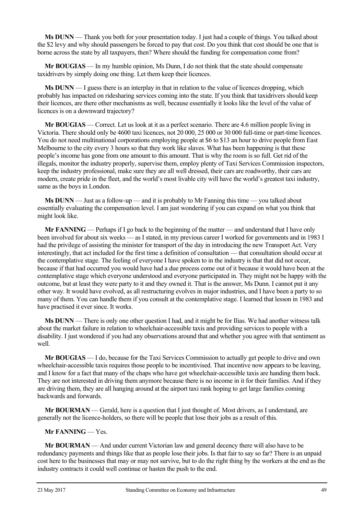**Ms DUNN** — Thank you both for your presentation today. I just had a couple of things. You talked about the \$2 levy and why should passengers be forced to pay that cost. Do you think that cost should be one that is borne across the state by all taxpayers, then? Where should the funding for compensation come from?

**Mr BOUGIAS** — In my humble opinion, Ms Dunn, I do not think that the state should compensate taxidrivers by simply doing one thing. Let them keep their licences.

**Ms DUNN** — I guess there is an interplay in that in relation to the value of licences dropping, which probably has impacted on ridesharing services coming into the state. If you think that taxidrivers should keep their licences, are there other mechanisms as well, because essentially it looks like the level of the value of licences is on a downward trajectory?

**Mr BOUGIAS** — Correct. Let us look at it as a perfect scenario. There are 4.6 million people living in Victoria. There should only be 4600 taxi licences, not 20 000, 25 000 or 30 000 full-time or part-time licences. You do not need multinational corporations employing people at \$6 to \$13 an hour to drive people from East Melbourne to the city every 3 hours so that they work like slaves. What has been happening is that these people's income has gone from one amount to this amount. That is why the room is so full. Get rid of the illegals, monitor the industry properly, supervise them, employ plenty of Taxi Services Commission inspectors, keep the industry professional, make sure they are all well dressed, their cars are roadworthy, their cars are modern, create pride in the fleet, and the world's most livable city will have the world's greatest taxi industry, same as the boys in London.

**Ms DUNN** — Just as a follow-up — and it is probably to Mr Fanning this time — you talked about essentially evaluating the compensation level. I am just wondering if you can expand on what you think that might look like.

**Mr FANNING** — Perhaps if I go back to the beginning of the matter — and understand that I have only been involved for about six weeks — as I stated, in my previous career I worked for governments and in 1983 I had the privilege of assisting the minister for transport of the day in introducing the new Transport Act. Very interestingly, that act included for the first time a definition of consultation — that consultation should occur at the contemplative stage. The feeling of everyone I have spoken to in the industry is that that did not occur, because if that had occurred you would have had a due process come out of it because it would have been at the contemplative stage which everyone understood and everyone participated in. They might not be happy with the outcome, but at least they were party to it and they owned it. That is the answer, Ms Dunn. I cannot put it any other way. It would have evolved, as all restructuring evolves in major industries, and I have been a party to so many of them. You can handle them if you consult at the contemplative stage. I learned that lesson in 1983 and have practised it ever since. It works.

**Ms DUNN** — There is only one other question I had, and it might be for Ilias. We had another witness talk about the market failure in relation to wheelchair-accessible taxis and providing services to people with a disability. I just wondered if you had any observations around that and whether you agree with that sentiment as well.

**Mr BOUGIAS** — I do, because for the Taxi Services Commission to actually get people to drive and own wheelchair-accessible taxis requires those people to be incentivised. That incentive now appears to be leaving, and I know for a fact that many of the chaps who have got wheelchair-accessible taxis are handing them back. They are not interested in driving them anymore because there is no income in it for their families. And if they are driving them, they are all hanging around at the airport taxi rank hoping to get large families coming backwards and forwards.

**Mr BOURMAN** — Gerald, here is a question that I just thought of. Most drivers, as I understand, are generally not the licence-holders, so there will be people that lose their jobs as a result of this.

**Mr FANNING** — Yes.

**Mr BOURMAN** — And under current Victorian law and general decency there will also have to be redundancy payments and things like that as people lose their jobs. Is that fair to say so far? There is an unpaid cost here to the businesses that may or may not survive, but to do the right thing by the workers at the end as the industry contracts it could well continue or hasten the push to the end.